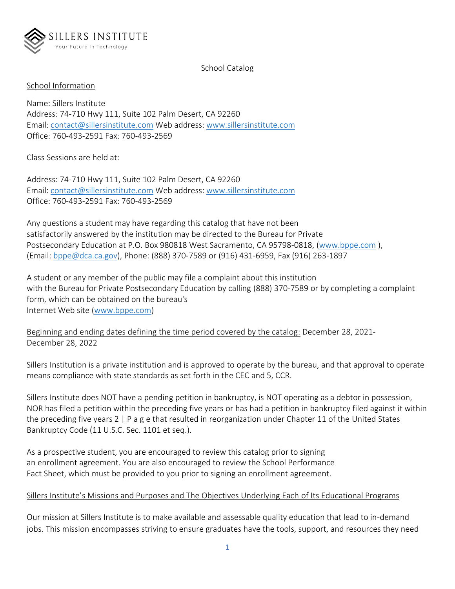

School Catalog

#### School Information

Name: Sillers Institute Address: 74-710 Hwy 111, Suite 102 Palm Desert, CA 92260 Email: [contact@sillersinstitute.com](about:blank) Web address: [www.sillersinstitute.com](about:blank) Office: 760-493-2591 Fax: 760-493-2569

Class Sessions are held at:

Address: 74-710 Hwy 111, Suite 102 Palm Desert, CA 92260 Email: [contact@sillersinstitute.com](about:blank) Web address: [www.sillersinstitute.com](about:blank) Office: 760-493-2591 Fax: 760-493-2569

Any questions a student may have regarding this catalog that have not been satisfactorily answered by the institution may be directed to the Bureau for Private Postsecondary Education at P.O. Box 980818 West Sacramento, CA 95798-0818, [\(www.bppe.com](about:blank) ), (Email: [bppe@dca.ca.gov\)](about:blank), Phone: (888) 370-7589 or (916) 431-6959, Fax (916) 263-1897

A student or any member of the public may file a complaint about this institution with the Bureau for Private Postsecondary Education by calling (888) 370-7589 or by completing a complaint form, which can be obtained on the bureau's Internet Web site [\(www.bppe.com\)](about:blank)

Beginning and ending dates defining the time period covered by the catalog: December 28, 2021- December 28, 2022

Sillers Institution is a private institution and is approved to operate by the bureau, and that approval to operate means compliance with state standards as set forth in the CEC and 5, CCR.

Sillers Institute does NOT have a pending petition in bankruptcy, is NOT operating as a debtor in possession, NOR has filed a petition within the preceding five years or has had a petition in bankruptcy filed against it within the preceding five years 2 | P a g e that resulted in reorganization under Chapter 11 of the United States Bankruptcy Code (11 U.S.C. Sec. 1101 et seq.).

As a prospective student, you are encouraged to review this catalog prior to signing an enrollment agreement. You are also encouraged to review the School Performance Fact Sheet, which must be provided to you prior to signing an enrollment agreement.

#### Sillers Institute's Missions and Purposes and The Objectives Underlying Each of Its Educational Programs

Our mission at Sillers Institute is to make available and assessable quality education that lead to in-demand jobs. This mission encompasses striving to ensure graduates have the tools, support, and resources they need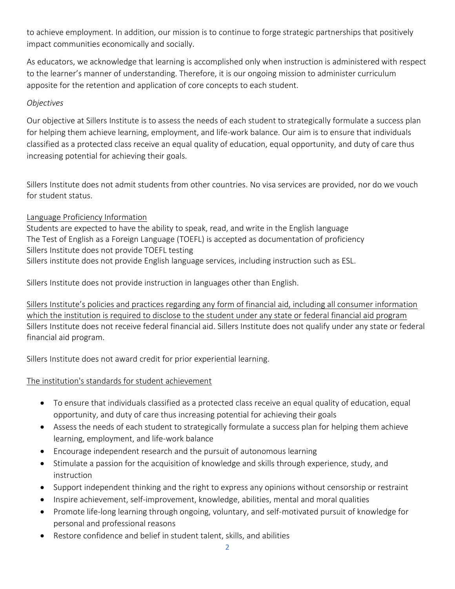to achieve employment. In addition, our mission is to continue to forge strategic partnerships that positively impact communities economically and socially.

As educators, we acknowledge that learning is accomplished only when instruction is administered with respect to the learner's manner of understanding. Therefore, it is our ongoing mission to administer curriculum apposite for the retention and application of core concepts to each student.

#### *Objectives*

Our objective at Sillers Institute is to assess the needs of each student to strategically formulate a success plan for helping them achieve learning, employment, and life-work balance. Our aim is to ensure that individuals classified as a protected class receive an equal quality of education, equal opportunity, and duty of care thus increasing potential for achieving their goals.

Sillers Institute does not admit students from other countries. No visa services are provided, nor do we vouch for student status.

# Language Proficiency Information

Students are expected to have the ability to speak, read, and write in the English language The Test of English as a Foreign Language (TOEFL) is accepted as documentation of proficiency Sillers Institute does not provide TOEFL testing Sillers institute does not provide English language services, including instruction such as ESL.

Sillers Institute does not provide instruction in languages other than English.

Sillers Institute's policies and practices regarding any form of financial aid, including all consumer information which the institution is required to disclose to the student under any state or federal financial aid program Sillers Institute does not receive federal financial aid. Sillers Institute does not qualify under any state or federal financial aid program.

Sillers Institute does not award credit for prior experiential learning.

# The institution's standards for student achievement

- To ensure that individuals classified as a protected class receive an equal quality of education, equal opportunity, and duty of care thus increasing potential for achieving their goals
- Assess the needs of each student to strategically formulate a success plan for helping them achieve learning, employment, and life-work balance
- Encourage independent research and the pursuit of autonomous learning
- Stimulate a passion for the acquisition of knowledge and skills through experience, study, and instruction
- Support independent thinking and the right to express any opinions without censorship or restraint
- Inspire achievement, self-improvement, knowledge, abilities, mental and moral qualities
- Promote life-long learning through ongoing, voluntary, and self-motivated pursuit of knowledge for personal and professional reasons
- Restore confidence and belief in student talent, skills, and abilities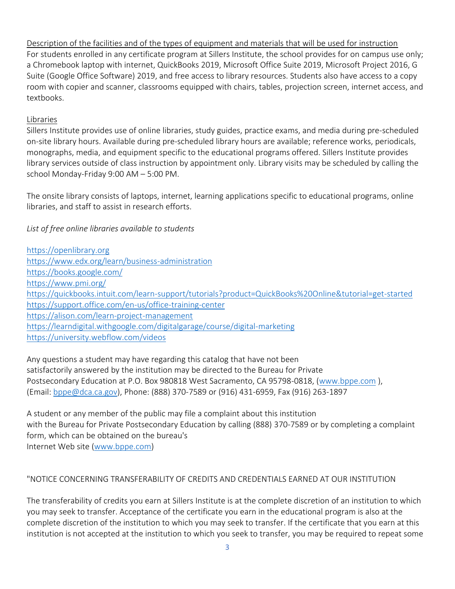Description of the facilities and of the types of equipment and materials that will be used for instruction For students enrolled in any certificate program at Sillers Institute, the school provides for on campus use only; a Chromebook laptop with internet, QuickBooks 2019, Microsoft Office Suite 2019, Microsoft Project 2016, G Suite (Google Office Software) 2019, and free access to library resources. Students also have access to a copy room with copier and scanner, classrooms equipped with chairs, tables, projection screen, internet access, and textbooks.

#### Libraries

Sillers Institute provides use of online libraries, study guides, practice exams, and media during pre-scheduled on-site library hours. Available during pre-scheduled library hours are available; reference works, periodicals, monographs, media, and equipment specific to the educational programs offered. Sillers Institute provides library services outside of class instruction by appointment only. Library visits may be scheduled by calling the school Monday-Friday 9:00 AM – 5:00 PM.

The onsite library consists of laptops, internet, learning applications specific to educational programs, online libraries, and staff to assist in research efforts.

#### *List of free online libraries available to students*

Any questions a student may have regarding this catalog that have not been satisfactorily answered by the institution may be directed to the Bureau for Private Postsecondary Education at P.O. Box 980818 West Sacramento, CA 95798-0818, [\(www.bppe.com](about:blank) ), (Email: [bppe@dca.ca.gov\)](about:blank), Phone: (888) 370-7589 or (916) 431-6959, Fax (916) 263-1897

A student or any member of the public may file a complaint about this institution with the Bureau for Private Postsecondary Education by calling (888) 370-7589 or by completing a complaint form, which can be obtained on the bureau's Internet Web site [\(www.bppe.com\)](about:blank)

#### "NOTICE CONCERNING TRANSFERABILITY OF CREDITS AND CREDENTIALS EARNED AT OUR INSTITUTION

The transferability of credits you earn at Sillers Institute is at the complete discretion of an institution to which you may seek to transfer. Acceptance of the certificate you earn in the educational program is also at the complete discretion of the institution to which you may seek to transfer. If the certificate that you earn at this institution is not accepted at the institution to which you seek to transfer, you may be required to repeat some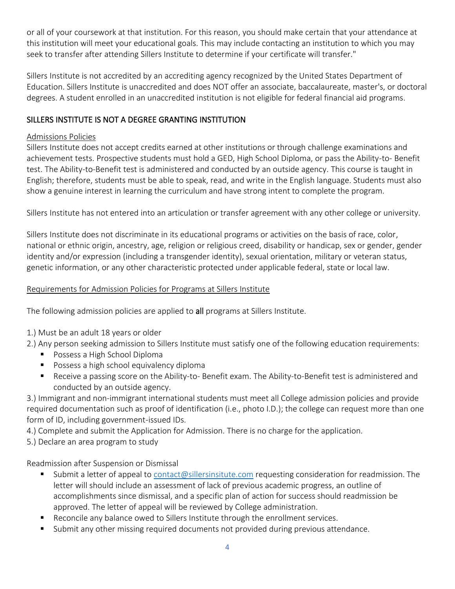or all of your coursework at that institution. For this reason, you should make certain that your attendance at this institution will meet your educational goals. This may include contacting an institution to which you may seek to transfer after attending Sillers Institute to determine if your certificate will transfer."

Sillers Institute is not accredited by an accrediting agency recognized by the United States Department of Education. Sillers Institute is unaccredited and does NOT offer an associate, baccalaureate, master's, or doctoral degrees. A student enrolled in an unaccredited institution is not eligible for federal financial aid programs.

# SILLERS INSTITUTE IS NOT A DEGREE GRANTING INSTITUTION

# Admissions Policies

Sillers Institute does not accept credits earned at other institutions or through challenge examinations and achievement tests. Prospective students must hold a GED, High School Diploma, or pass the Ability-to- Benefit test. The Ability-to-Benefit test is administered and conducted by an outside agency. This course is taught in English; therefore, students must be able to speak, read, and write in the English language. Students must also show a genuine interest in learning the curriculum and have strong intent to complete the program.

Sillers Institute has not entered into an articulation or transfer agreement with any other college or university.

Sillers Institute does not discriminate in its educational programs or activities on the basis of race, color, national or ethnic origin, ancestry, age, religion or religious creed, disability or handicap, sex or gender, gender identity and/or expression (including a transgender identity), sexual orientation, military or veteran status, genetic information, or any other characteristic protected under applicable federal, state or local law.

#### Requirements for Admission Policies for Programs at Sillers Institute

The following admission policies are applied to all programs at Sillers Institute.

- 1.) Must be an adult 18 years or older
- 2.) Any person seeking admission to Sillers Institute must satisfy one of the following education requirements:
	- Possess a High School Diploma
	- Possess a high school equivalency diploma
	- Receive a passing score on the Ability-to- Benefit exam. The Ability-to-Benefit test is administered and conducted by an outside agency.

3.) Immigrant and non-immigrant international students must meet all College admission policies and provide required documentation such as proof of identification (i.e., photo I.D.); the college can request more than one form of ID, including government-issued IDs.

4.) Complete and submit the Application for Admission. There is no charge for the application.

5.) Declare an area program to study

Readmission after Suspension or Dismissal

- Submit a letter of appeal to [contact@sillersinsitute.com](about:blank) requesting consideration for readmission. The letter will should include an assessment of lack of previous academic progress, an outline of accomplishments since dismissal, and a specific plan of action for success should readmission be approved. The letter of appeal will be reviewed by College administration.
- Reconcile any balance owed to Sillers Institute through the enrollment services.
- Submit any other missing required documents not provided during previous attendance.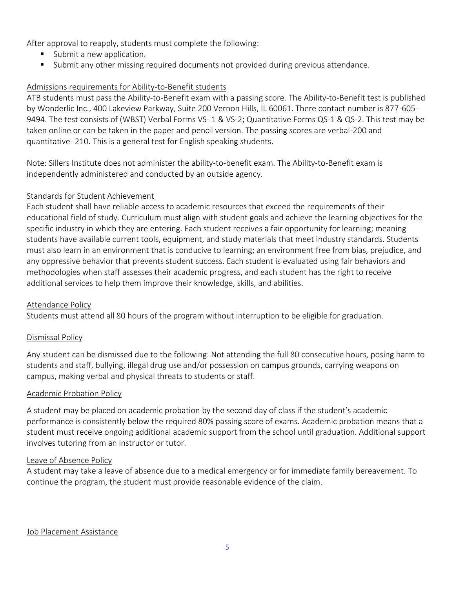After approval to reapply, students must complete the following:

- Submit a new application.
- Submit any other missing required documents not provided during previous attendance.

#### Admissions requirements for Ability-to-Benefit students

ATB students must pass the Ability-to-Benefit exam with a passing score. The Ability-to-Benefit test is published by Wonderlic Inc., 400 Lakeview Parkway, Suite 200 Vernon Hills, IL 60061. There contact number is 877-605- 9494. The test consists of (WBST) Verbal Forms VS- 1 & VS-2; Quantitative Forms QS-1 & QS-2. This test may be taken online or can be taken in the paper and pencil version. The passing scores are verbal-200 and quantitative- 210. This is a general test for English speaking students.

Note: Sillers Institute does not administer the ability-to-benefit exam. The Ability-to-Benefit exam is independently administered and conducted by an outside agency.

#### Standards for Student Achievement

Each student shall have reliable access to academic resources that exceed the requirements of their educational field of study. Curriculum must align with student goals and achieve the learning objectives for the specific industry in which they are entering. Each student receives a fair opportunity for learning; meaning students have available current tools, equipment, and study materials that meet industry standards. Students must also learn in an environment that is conducive to learning; an environment free from bias, prejudice, and any oppressive behavior that prevents student success. Each student is evaluated using fair behaviors and methodologies when staff assesses their academic progress, and each student has the right to receive additional services to help them improve their knowledge, skills, and abilities.

#### Attendance Policy

Students must attend all 80 hours of the program without interruption to be eligible for graduation.

#### Dismissal Policy

Any student can be dismissed due to the following: Not attending the full 80 consecutive hours, posing harm to students and staff, bullying, illegal drug use and/or possession on campus grounds, carrying weapons on campus, making verbal and physical threats to students or staff.

#### Academic Probation Policy

A student may be placed on academic probation by the second day of class if the student's academic performance is consistently below the required 80% passing score of exams. Academic probation means that a student must receive ongoing additional academic support from the school until graduation. Additional support involves tutoring from an instructor or tutor.

#### Leave of Absence Policy

A student may take a leave of absence due to a medical emergency or for immediate family bereavement. To continue the program, the student must provide reasonable evidence of the claim.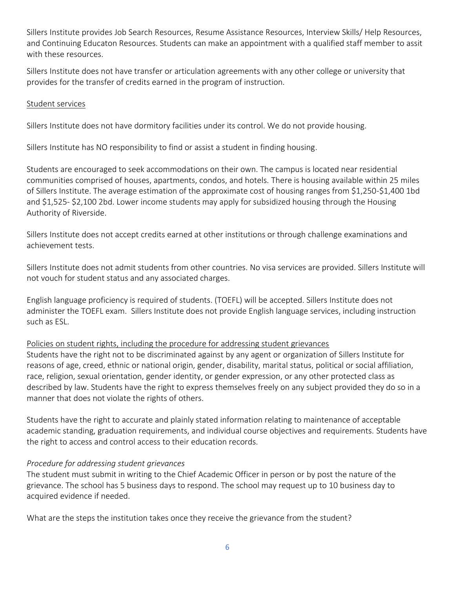Sillers Institute provides Job Search Resources, Resume Assistance Resources, Interview Skills/ Help Resources, and Continuing Educaton Resources. Students can make an appointment with a qualified staff member to assit with these resources.

Sillers Institute does not have transfer or articulation agreements with any other college or university that provides for the transfer of credits earned in the program of instruction.

#### Student services

Sillers Institute does not have dormitory facilities under its control. We do not provide housing.

Sillers Institute has NO responsibility to find or assist a student in finding housing.

Students are encouraged to seek accommodations on their own. The campus is located near residential communities comprised of houses, apartments, condos, and hotels. There is housing available within 25 miles of Sillers Institute. The average estimation of the approximate cost of housing ranges from \$1,250-\$1,400 1bd and \$1,525- \$2,100 2bd. Lower income students may apply for subsidized housing through the Housing Authority of Riverside.

Sillers Institute does not accept credits earned at other institutions or through challenge examinations and achievement tests.

Sillers Institute does not admit students from other countries. No visa services are provided. Sillers Institute will not vouch for student status and any associated charges.

English language proficiency is required of students. (TOEFL) will be accepted. Sillers Institute does not administer the TOEFL exam. Sillers Institute does not provide English language services, including instruction such as ESL.

# Policies on student rights, including the procedure for addressing student grievances

Students have the right not to be discriminated against by any agent or organization of Sillers Institute for reasons of age, creed, ethnic or national origin, gender, disability, marital status, political or social affiliation, race, religion, sexual orientation, gender identity, or gender expression, or any other protected class as described by law. Students have the right to express themselves freely on any subject provided they do so in a manner that does not violate the rights of others.

Students have the right to accurate and plainly stated information relating to maintenance of acceptable academic standing, graduation requirements, and individual course objectives and requirements. Students have the right to access and control access to their education records.

# *Procedure for addressing student grievances*

The student must submit in writing to the Chief Academic Officer in person or by post the nature of the grievance. The school has 5 business days to respond. The school may request up to 10 business day to acquired evidence if needed.

What are the steps the institution takes once they receive the grievance from the student?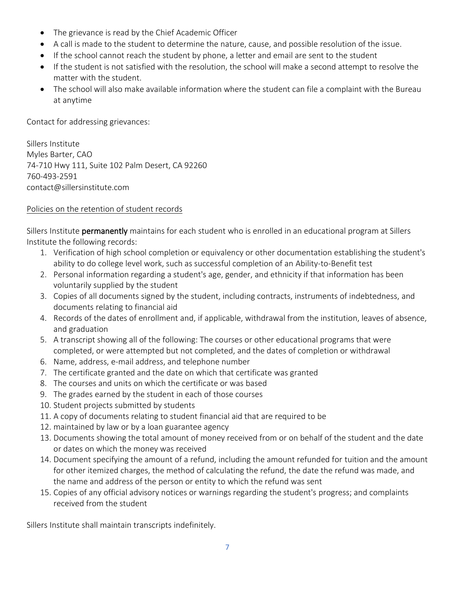- The grievance is read by the Chief Academic Officer
- A call is made to the student to determine the nature, cause, and possible resolution of the issue.
- If the school cannot reach the student by phone, a letter and email are sent to the student
- If the student is not satisfied with the resolution, the school will make a second attempt to resolve the matter with the student.
- The school will also make available information where the student can file a complaint with the Bureau at anytime

Contact for addressing grievances:

Sillers Institute Myles Barter, CAO 74-710 Hwy 111, Suite 102 Palm Desert, CA 92260 760-493-2591 contact@sillersinstitute.com

# Policies on the retention of student records

Sillers Institute permanently maintains for each student who is enrolled in an educational program at Sillers Institute the following records:

- 1. Verification of high school completion or equivalency or other documentation establishing the student's ability to do college level work, such as successful completion of an Ability-to-Benefit test
- 2. Personal information regarding a student's age, gender, and ethnicity if that information has been voluntarily supplied by the student
- 3. Copies of all documents signed by the student, including contracts, instruments of indebtedness, and documents relating to financial aid
- 4. Records of the dates of enrollment and, if applicable, withdrawal from the institution, leaves of absence, and graduation
- 5. A transcript showing all of the following: The courses or other educational programs that were completed, or were attempted but not completed, and the dates of completion or withdrawal
- 6. Name, address, e-mail address, and telephone number
- 7. The certificate granted and the date on which that certificate was granted
- 8. The courses and units on which the certificate or was based
- 9. The grades earned by the student in each of those courses
- 10. Student projects submitted by students
- 11. A copy of documents relating to student financial aid that are required to be
- 12. maintained by law or by a loan guarantee agency
- 13. Documents showing the total amount of money received from or on behalf of the student and the date or dates on which the money was received
- 14. Document specifying the amount of a refund, including the amount refunded for tuition and the amount for other itemized charges, the method of calculating the refund, the date the refund was made, and the name and address of the person or entity to which the refund was sent
- 15. Copies of any official advisory notices or warnings regarding the student's progress; and complaints received from the student

Sillers Institute shall maintain transcripts indefinitely.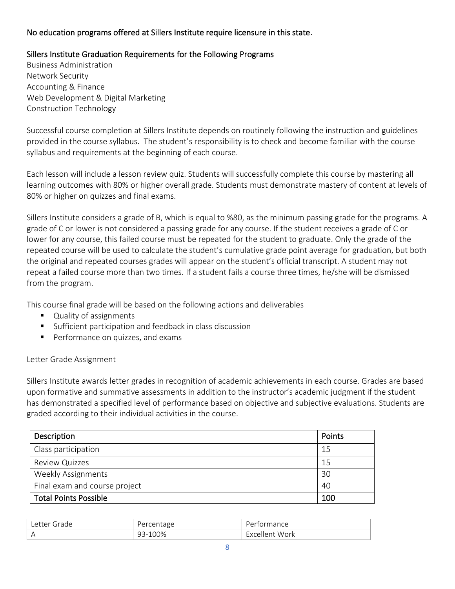# No education programs offered at Sillers Institute require licensure in this state.

# Sillers Institute Graduation Requirements for the Following Programs

Business Administration Network Security Accounting & Finance Web Development & Digital Marketing Construction Technology

Successful course completion at Sillers Institute depends on routinely following the instruction and guidelines provided in the course syllabus. The student's responsibility is to check and become familiar with the course syllabus and requirements at the beginning of each course.

Each lesson will include a lesson review quiz. Students will successfully complete this course by mastering all learning outcomes with 80% or higher overall grade. Students must demonstrate mastery of content at levels of 80% or higher on quizzes and final exams.

Sillers Institute considers a grade of B, which is equal to %80, as the minimum passing grade for the programs. A grade of C or lower is not considered a passing grade for any course. If the student receives a grade of C or lower for any course, this failed course must be repeated for the student to graduate. Only the grade of the repeated course will be used to calculate the student's cumulative grade point average for graduation, but both the original and repeated courses grades will appear on the student's official transcript. A student may not repeat a failed course more than two times. If a student fails a course three times, he/she will be dismissed from the program.

This course final grade will be based on the following actions and deliverables

- Quality of assignments
- Sufficient participation and feedback in class discussion
- Performance on quizzes, and exams

#### Letter Grade Assignment

Sillers Institute awards letter grades in recognition of academic achievements in each course. Grades are based upon formative and summative assessments in addition to the instructor's academic judgment if the student has demonstrated a specified level of performance based on objective and subjective evaluations. Students are graded according to their individual activities in the course.

| Description                   | Points |
|-------------------------------|--------|
| Class participation           | 15     |
| <b>Review Quizzes</b>         | 15     |
| <b>Weekly Assignments</b>     | 30     |
| Final exam and course project | 40     |
| <b>Total Points Possible</b>  | 100    |

| .etter<br>$\overline{1}$<br>-- | creditume | nance                     |
|--------------------------------|-----------|---------------------------|
| $\overline{P}$                 | 0%<br>ر ب | Work<br>$1 \cap n$<br>. . |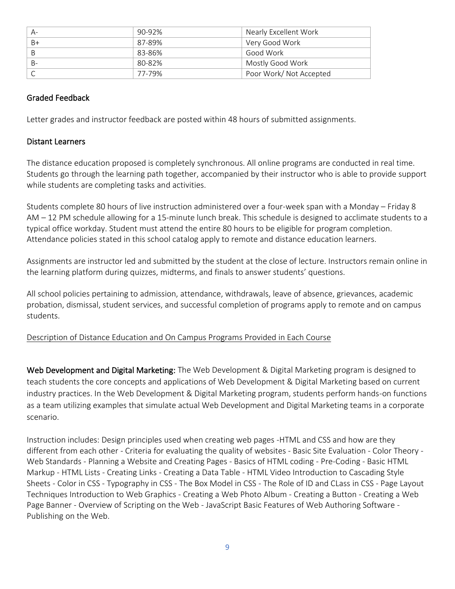|      | 90-92% | Nearly Excellent Work  |
|------|--------|------------------------|
| $B+$ | 87-89% | Very Good Work         |
|      | 83-86% | Good Work              |
|      | 80-82% | Mostly Good Work       |
|      | 77-79% | Poor Work/Not Accepted |

#### Graded Feedback

Letter grades and instructor feedback are posted within 48 hours of submitted assignments.

#### Distant Learners

The distance education proposed is completely synchronous. All online programs are conducted in real time. Students go through the learning path together, accompanied by their instructor who is able to provide support while students are completing tasks and activities.

Students complete 80 hours of live instruction administered over a four-week span with a Monday – Friday 8 AM – 12 PM schedule allowing for a 15-minute lunch break. This schedule is designed to acclimate students to a typical office workday. Student must attend the entire 80 hours to be eligible for program completion. Attendance policies stated in this school catalog apply to remote and distance education learners.

Assignments are instructor led and submitted by the student at the close of lecture. Instructors remain online in the learning platform during quizzes, midterms, and finals to answer students' questions.

All school policies pertaining to admission, attendance, withdrawals, leave of absence, grievances, academic probation, dismissal, student services, and successful completion of programs apply to remote and on campus students.

#### Description of Distance Education and On Campus Programs Provided in Each Course

Web Development and Digital Marketing: The Web Development & Digital Marketing program is designed to teach students the core concepts and applications of Web Development & Digital Marketing based on current industry practices. In the Web Development & Digital Marketing program, students perform hands-on functions as a team utilizing examples that simulate actual Web Development and Digital Marketing teams in a corporate scenario.

Instruction includes: Design principles used when creating web pages -HTML and CSS and how are they different from each other - Criteria for evaluating the quality of websites - Basic Site Evaluation - Color Theory - Web Standards - Planning a Website and Creating Pages - Basics of HTML coding - Pre-Coding - Basic HTML Markup - HTML Lists - Creating Links - Creating a Data Table - HTML Video Introduction to Cascading Style Sheets - Color in CSS - Typography in CSS - The Box Model in CSS - The Role of ID and CLass in CSS - Page Layout Techniques Introduction to Web Graphics - Creating a Web Photo Album - Creating a Button - Creating a Web Page Banner - Overview of Scripting on the Web - JavaScript Basic Features of Web Authoring Software - Publishing on the Web.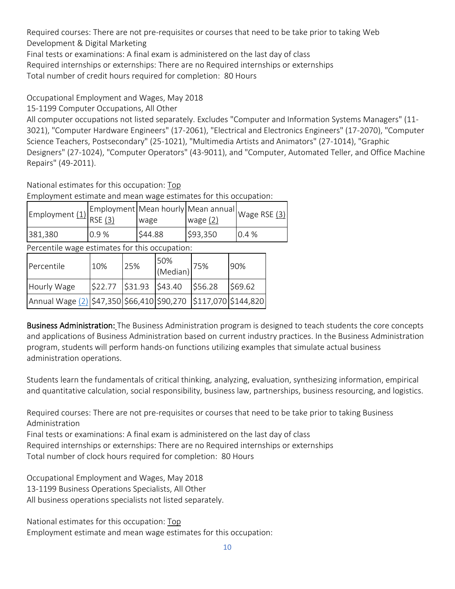Required courses: There are not pre-requisites or courses that need to be take prior to taking Web Development & Digital Marketing

Final tests or examinations: A final exam is administered on the last day of class

Required internships or externships: There are no Required internships or externships

Total number of credit hours required for completion: 80 Hours

Occupational Employment and Wages, May 2018

15-1199 Computer Occupations, All Other

All computer occupations not listed separately. Excludes "Computer and Information Systems Managers" (11- 3021), "Computer Hardware Engineers" (17-2061), "Electrical and Electronics Engineers" (17-2070), "Computer Science Teachers, Postsecondary" (25-1021), "Multimedia Artists and Animators" (27-1014), "Graphic Designers" (27-1024), "Computer Operators" (43-9011), and "Computer, Automated Teller, and Office Machine Repairs" (49-2011).

National estimates for this occupation: [Top](about:blank#top)

Employment estimate and mean wage estimates for this occupation:

| Employment (1)                                 | <b>RSE (3)</b> |     | wage    |                 | Employment Mean hourly Mean annual<br>wage $(2)$ | Wage RSE (3) |  |
|------------------------------------------------|----------------|-----|---------|-----------------|--------------------------------------------------|--------------|--|
| 381,380                                        | 0.9%           |     | \$44.88 |                 | \$93,350                                         | 0.4%         |  |
| Percentile wage estimates for this occupation: |                |     |         |                 |                                                  |              |  |
| Percentile                                     | 10%            | 25% |         | 50%<br>(Median) | 75%                                              | 90%          |  |

Hourly Wage | \$22.77 | \$31.93 | \$43.40 | \$56.28 | \$69.62

Annual Wage [\(2\)](about:blank#(2)) \$47,350 \$66,410 \$90,270 \$117,070 \$144,820

Business Administration: The Business Administration program is designed to teach students the core concepts and applications of Business Administration based on current industry practices. In the Business Administration program, students will perform hands-on functions utilizing examples that simulate actual business administration operations.

Students learn the fundamentals of critical thinking, analyzing, evaluation, synthesizing information, empirical and quantitative calculation, social responsibility, business law, partnerships, business resourcing, and logistics.

Required courses: There are not pre-requisites or courses that need to be take prior to taking Business Administration

Final tests or examinations: A final exam is administered on the last day of class

Required internships or externships: There are no Required internships or externships

Total number of clock hours required for completion: 80 Hours

Occupational Employment and Wages, May 2018 13-1199 Business Operations Specialists, All Other All business operations specialists not listed separately.

National estimates for this occupation: [Top](about:blank#top)

Employment estimate and mean wage estimates for this occupation: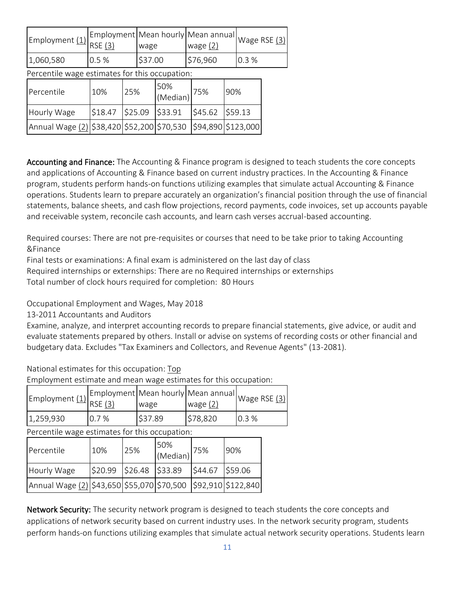| Employment (1)                             | <b>RSE (3)</b> |                                                | Employment   Mean hourly   Mean annual<br>wage |                 | wage $(2)$ |                    |      |         | Wage RSE (3) |
|--------------------------------------------|----------------|------------------------------------------------|------------------------------------------------|-----------------|------------|--------------------|------|---------|--------------|
| 1,060,580                                  | 0.5%           |                                                | \$37.00                                        |                 | \$76,960   |                    | 0.3% |         |              |
|                                            |                | Percentile wage estimates for this occupation: |                                                |                 |            |                    |      |         |              |
| Percentile                                 | 10%            | 25%                                            |                                                | 50%<br>(Median) |            | 75%                | 90%  |         |              |
| Hourly Wage                                | \$18.47        |                                                | \$25.09                                        | \$33.91         |            | \$45.62            |      | \$59.13 |              |
| Annual Wage (2) \$38,420 \$52,200 \$70,530 |                |                                                |                                                |                 |            | \$94,890 \$123,000 |      |         |              |

Accounting and Finance: The Accounting & Finance program is designed to teach students the core concepts and applications of Accounting & Finance based on current industry practices. In the Accounting & Finance program, students perform hands-on functions utilizing examples that simulate actual Accounting & Finance operations. Students learn to prepare accurately an organization's financial position through the use of financial statements, balance sheets, and cash flow projections, record payments, code invoices, set up accounts payable and receivable system, reconcile cash accounts, and learn cash verses accrual-based accounting.

Required courses: There are not pre-requisites or courses that need to be take prior to taking Accounting &Finance

Final tests or examinations: A final exam is administered on the last day of class

Required internships or externships: There are no Required internships or externships

Total number of clock hours required for completion: 80 Hours

Occupational Employment and Wages, May 2018

13-2011 Accountants and Auditors

Examine, analyze, and interpret accounting records to prepare financial statements, give advice, or audit and evaluate statements prepared by others. Install or advise on systems of recording costs or other financial and budgetary data. Excludes "Tax Examiners and Collectors, and Revenue Agents" (13-2081).

National estimates for this occupation: [Top](about:blank#top)

Employment estimate and mean wage estimates for this occupation:

| Employment (1)                                 | RSE (3) |     | Employment   Mean hourly   Mean annual<br>wage |                 | wage $(2)$           |     |         | Wage RSE (3) |
|------------------------------------------------|---------|-----|------------------------------------------------|-----------------|----------------------|-----|---------|--------------|
| 1,259,930                                      | 0.7%    |     | \$37.89                                        |                 | \$78,820             |     | 0.3%    |              |
| Percentile wage estimates for this occupation: |         |     |                                                |                 |                      |     |         |              |
| Percentile                                     | 10%     | 25% |                                                | 50%<br>(Median) | 75%                  | 90% |         |              |
| Hourly Wage                                    | \$20.99 |     | \$26.48                                        | \$33.89         | \$44.67              |     | \$59.06 |              |
| Annual Wage (2) \$43,650 \$55,070 \$70,500     |         |     |                                                |                 | $ $92,910$ \$122,840 |     |         |              |

Network Security: The security network program is designed to teach students the core concepts and applications of network security based on current industry uses. In the network security program, students perform hands-on functions utilizing examples that simulate actual network security operations. Students learn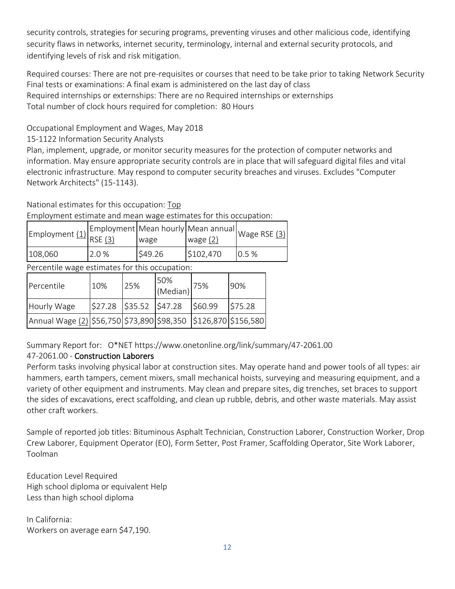security controls, strategies for securing programs, preventing viruses and other malicious code, identifying security flaws in networks, internet security, terminology, internal and external security protocols, and identifying levels of risk and risk mitigation.

Required courses: There are not pre-requisites or courses that need to be take prior to taking Network Security Final tests or examinations: A final exam is administered on the last day of class Required internships or externships: There are no Required internships or externships Total number of clock hours required for completion: 80 Hours

Occupational Employment and Wages, May 2018

# 15-1122 Information Security Analysts

Plan, implement, upgrade, or monitor security measures for the protection of computer networks and information. May ensure appropriate security controls are in place that will safeguard digital files and vital electronic infrastructure. May respond to computer security breaches and viruses. Excludes "Computer Network Architects" (15-1143).

National estimates for this occupation: [Top](about:blank#top)

Employment estimate and mean wage estimates for this occupation:

| . $\epsilon$ mployment <u>(1)</u> $\left \frac{\epsilon_{\text{max}}}{\text{RSE}}\right \right $ |       | wage    | wage $(2)$ | .,   Employment   Mean hourly   Mean annual   Wage RSE (3) <sup> </sup> |
|--------------------------------------------------------------------------------------------------|-------|---------|------------|-------------------------------------------------------------------------|
| 108,060                                                                                          | 2.0 % | \$49.26 | \$102,470  | 0.5%                                                                    |

Percentile wage estimates for this occupation:

| Percentile                                                     | 10%                                                                                                                                                             | 25% | 50%<br>(Median) | 175%    | 90%     |
|----------------------------------------------------------------|-----------------------------------------------------------------------------------------------------------------------------------------------------------------|-----|-----------------|---------|---------|
| Hourly Wage                                                    | $\frac{1}{2}$ 27.28 $\frac{1}{2}$ $\frac{1}{2}$ $\frac{1}{2}$ $\frac{1}{2}$ $\frac{1}{2}$ $\frac{1}{2}$ $\frac{1}{2}$ $\frac{1}{2}$ $\frac{1}{2}$ $\frac{1}{2}$ |     |                 | \$60.99 | \$75.28 |
| Annual Wage (2) \$56,750 \$73,890 \$98,350 \$126,870 \$156,580 |                                                                                                                                                                 |     |                 |         |         |

Summary Report for: O\*NET https://www.onetonline.org/link/summary/47-2061.00

# 47-2061.00 - Construction Laborers

Perform tasks involving physical labor at construction sites. May operate hand and power tools of all types: air hammers, earth tampers, cement mixers, small mechanical hoists, surveying and measuring equipment, and a variety of other equipment and instruments. May clean and prepare sites, dig trenches, set braces to support the sides of excavations, erect scaffolding, and clean up rubble, debris, and other waste materials. May assist other craft workers.

Sample of reported job titles: Bituminous Asphalt Technician, Construction Laborer, Construction Worker, Drop Crew Laborer, Equipment Operator (EO), Form Setter, Post Framer, Scaffolding Operator, Site Work Laborer, Toolman

Education Level Required High school diploma or equivalent Help Less than high school diploma

In California: Workers on average earn \$47,190.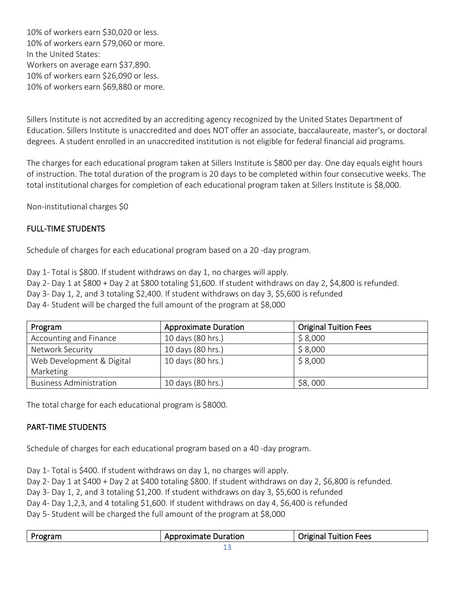10% of workers earn \$30,020 or less. 10% of workers earn \$79,060 or more. In the United States: Workers on average earn \$37,890. 10% of workers earn \$26,090 or less. 10% of workers earn \$69,880 or more.

Sillers Institute is not accredited by an accrediting agency recognized by the United States Department of Education. Sillers Institute is unaccredited and does NOT offer an associate, baccalaureate, master's, or doctoral degrees. A student enrolled in an unaccredited institution is not eligible for federal financial aid programs.

The charges for each educational program taken at Sillers Institute is \$800 per day. One day equals eight hours of instruction. The total duration of the program is 20 days to be completed within four consecutive weeks. The total institutional charges for completion of each educational program taken at Sillers Institute is \$8,000.

Non-institutional charges \$0

# FULL-TIME STUDENTS

Schedule of charges for each educational program based on a 20 -day program.

Day 1- Total is \$800. If student withdraws on day 1, no charges will apply.

Day 2- Day 1 at \$800 + Day 2 at \$800 totaling \$1,600. If student withdraws on day 2, \$4,800 is refunded.

Day 3- Day 1, 2, and 3 totaling \$2,400. If student withdraws on day 3, \$5,600 is refunded

Day 4- Student will be charged the full amount of the program at \$8,000

| Program                        | <b>Approximate Duration</b> | <b>Original Tuition Fees</b> |
|--------------------------------|-----------------------------|------------------------------|
| Accounting and Finance         | 10 days (80 hrs.)           | \$8,000                      |
| Network Security               | 10 days (80 hrs.)           | \$8,000                      |
| Web Development & Digital      | 10 days (80 hrs.)           | \$8,000                      |
| Marketing                      |                             |                              |
| <b>Business Administration</b> | 10 days (80 hrs.)           | \$8,000                      |

The total charge for each educational program is \$8000.

#### PART-TIME STUDENTS

Schedule of charges for each educational program based on a 40 -day program.

Day 1- Total is \$400. If student withdraws on day 1, no charges will apply.

Day 2- Day 1 at \$400 + Day 2 at \$400 totaling \$800. If student withdraws on day 2, \$6,800 is refunded.

Day 3- Day 1, 2, and 3 totaling \$1,200. If student withdraws on day 3, \$5,600 is refunded

Day 4- Day 1,2,3, and 4 totaling \$1,600. If student withdraws on day 4, \$6,400 is refunded

Day 5- Student will be charged the full amount of the program at \$8,000

| Program | <b>Approximate Duration</b> | 'Tuition Fees<br>Original |
|---------|-----------------------------|---------------------------|
|         |                             |                           |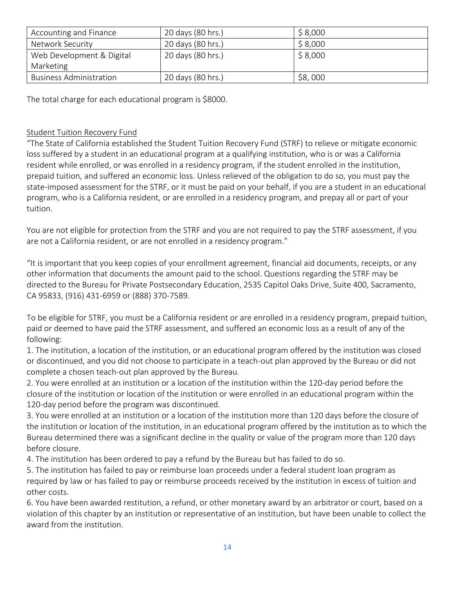| Accounting and Finance         | 20 days (80 hrs.) | \$8,000 |
|--------------------------------|-------------------|---------|
| Network Security               | 20 days (80 hrs.) | \$8,000 |
| Web Development & Digital      | 20 days (80 hrs.) | \$8,000 |
| Marketing                      |                   |         |
| <b>Business Administration</b> | 20 days (80 hrs.) | \$8,000 |

The total charge for each educational program is \$8000.

# Student Tuition Recovery Fund

"The State of California established the Student Tuition Recovery Fund (STRF) to relieve or mitigate economic loss suffered by a student in an educational program at a qualifying institution, who is or was a California resident while enrolled, or was enrolled in a residency program, if the student enrolled in the institution, prepaid tuition, and suffered an economic loss. Unless relieved of the obligation to do so, you must pay the state-imposed assessment for the STRF, or it must be paid on your behalf, if you are a student in an educational program, who is a California resident, or are enrolled in a residency program, and prepay all or part of your tuition.

You are not eligible for protection from the STRF and you are not required to pay the STRF assessment, if you are not a California resident, or are not enrolled in a residency program."

"It is important that you keep copies of your enrollment agreement, financial aid documents, receipts, or any other information that documents the amount paid to the school. Questions regarding the STRF may be directed to the Bureau for Private Postsecondary Education, 2535 Capitol Oaks Drive, Suite 400, Sacramento, CA 95833, (916) 431-6959 or (888) 370-7589.

To be eligible for STRF, you must be a California resident or are enrolled in a residency program, prepaid tuition, paid or deemed to have paid the STRF assessment, and suffered an economic loss as a result of any of the following:

1. The institution, a location of the institution, or an educational program offered by the institution was closed or discontinued, and you did not choose to participate in a teach-out plan approved by the Bureau or did not complete a chosen teach-out plan approved by the Bureau.

2. You were enrolled at an institution or a location of the institution within the 120-day period before the closure of the institution or location of the institution or were enrolled in an educational program within the 120-day period before the program was discontinued.

3. You were enrolled at an institution or a location of the institution more than 120 days before the closure of the institution or location of the institution, in an educational program offered by the institution as to which the Bureau determined there was a significant decline in the quality or value of the program more than 120 days before closure.

4. The institution has been ordered to pay a refund by the Bureau but has failed to do so.

5. The institution has failed to pay or reimburse loan proceeds under a federal student loan program as required by law or has failed to pay or reimburse proceeds received by the institution in excess of tuition and other costs.

6. You have been awarded restitution, a refund, or other monetary award by an arbitrator or court, based on a violation of this chapter by an institution or representative of an institution, but have been unable to collect the award from the institution.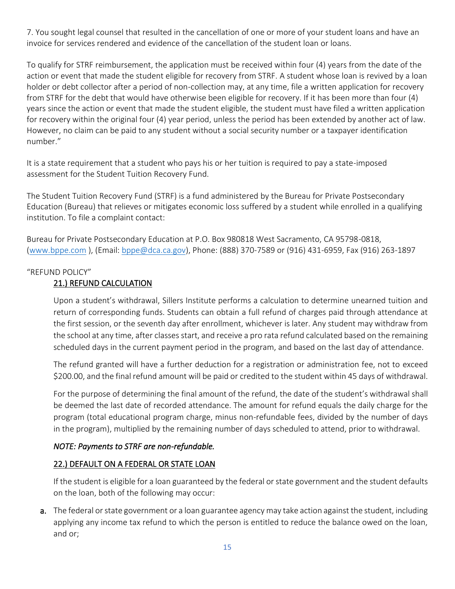7. You sought legal counsel that resulted in the cancellation of one or more of your student loans and have an invoice for services rendered and evidence of the cancellation of the student loan or loans.

To qualify for STRF reimbursement, the application must be received within four (4) years from the date of the action or event that made the student eligible for recovery from STRF. A student whose loan is revived by a loan holder or debt collector after a period of non-collection may, at any time, file a written application for recovery from STRF for the debt that would have otherwise been eligible for recovery. If it has been more than four (4) years since the action or event that made the student eligible, the student must have filed a written application for recovery within the original four (4) year period, unless the period has been extended by another act of law. However, no claim can be paid to any student without a social security number or a taxpayer identification number."

It is a state requirement that a student who pays his or her tuition is required to pay a state-imposed assessment for the Student Tuition Recovery Fund.

The Student Tuition Recovery Fund (STRF) is a fund administered by the Bureau for Private Postsecondary Education (Bureau) that relieves or mitigates economic loss suffered by a student while enrolled in a qualifying institution. To file a complaint contact:

Bureau for Private Postsecondary Education at P.O. Box 980818 West Sacramento, CA 95798-0818, [\(www.bppe.com](about:blank) ), (Email: [bppe@dca.ca.gov\)](about:blank), Phone: (888) 370-7589 or (916) 431-6959, Fax (916) 263-1897

#### "REFUND POLICY"

# 21.) REFUND CALCULATION

Upon a student's withdrawal, Sillers Institute performs a calculation to determine unearned tuition and return of corresponding funds. Students can obtain a full refund of charges paid through attendance at the first session, or the seventh day after enrollment, whichever is later. Any student may withdraw from the school at any time, after classes start, and receive a pro rata refund calculated based on the remaining scheduled days in the current payment period in the program, and based on the last day of attendance.

The refund granted will have a further deduction for a registration or administration fee, not to exceed \$200.00, and the final refund amount will be paid or credited to the student within 45 days of withdrawal.

For the purpose of determining the final amount of the refund, the date of the student's withdrawal shall be deemed the last date of recorded attendance. The amount for refund equals the daily charge for the program (total educational program charge, minus non-refundable fees, divided by the number of days in the program), multiplied by the remaining number of days scheduled to attend, prior to withdrawal.

#### *NOTE: Payments to STRF are non-refundable.*

# 22.) DEFAULT ON A FEDERAL OR STATE LOAN

If the student is eligible for a loan guaranteed by the federal or state government and the student defaults on the loan, both of the following may occur:

a. The federal or state government or a loan guarantee agency may take action against the student, including applying any income tax refund to which the person is entitled to reduce the balance owed on the loan, and or;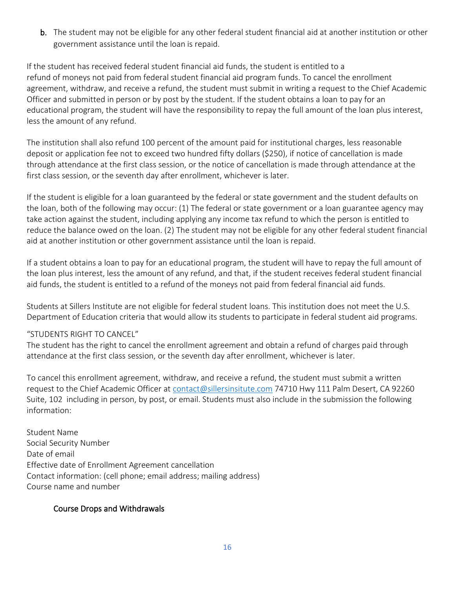b. The student may not be eligible for any other federal student financial aid at another institution or other government assistance until the loan is repaid.

If the student has received federal student financial aid funds, the student is entitled to a refund of moneys not paid from federal student financial aid program funds. To cancel the enrollment agreement, withdraw, and receive a refund, the student must submit in writing a request to the Chief Academic Officer and submitted in person or by post by the student. If the student obtains a loan to pay for an educational program, the student will have the responsibility to repay the full amount of the loan plus interest, less the amount of any refund.

The institution shall also refund 100 percent of the amount paid for institutional charges, less reasonable deposit or application fee not to exceed two hundred fifty dollars (\$250), if notice of cancellation is made through attendance at the first class session, or the notice of cancellation is made through attendance at the first class session, or the seventh day after enrollment, whichever is later.

If the student is eligible for a loan guaranteed by the federal or state government and the student defaults on the loan, both of the following may occur: (1) The federal or state government or a loan guarantee agency may take action against the student, including applying any income tax refund to which the person is entitled to reduce the balance owed on the loan. (2) The student may not be eligible for any other federal student financial aid at another institution or other government assistance until the loan is repaid.

If a student obtains a loan to pay for an educational program, the student will have to repay the full amount of the loan plus interest, less the amount of any refund, and that, if the student receives federal student financial aid funds, the student is entitled to a refund of the moneys not paid from federal financial aid funds.

Students at Sillers Institute are not eligible for federal student loans. This institution does not meet the U.S. Department of Education criteria that would allow its students to participate in federal student aid programs.

#### "STUDENTS RIGHT TO CANCEL"

The student has the right to cancel the enrollment agreement and obtain a refund of charges paid through attendance at the first class session, or the seventh day after enrollment, whichever is later.

To cancel this enrollment agreement, withdraw, and receive a refund, the student must submit a written request to the Chief Academic Officer at [contact@sillersinsitute.com](about:blank) 74710 Hwy 111 Palm Desert, CA 92260 Suite, 102 including in person, by post, or email. Students must also include in the submission the following information:

Student Name Social Security Number Date of email Effective date of Enrollment Agreement cancellation Contact information: (cell phone; email address; mailing address) Course name and number

#### Course Drops and Withdrawals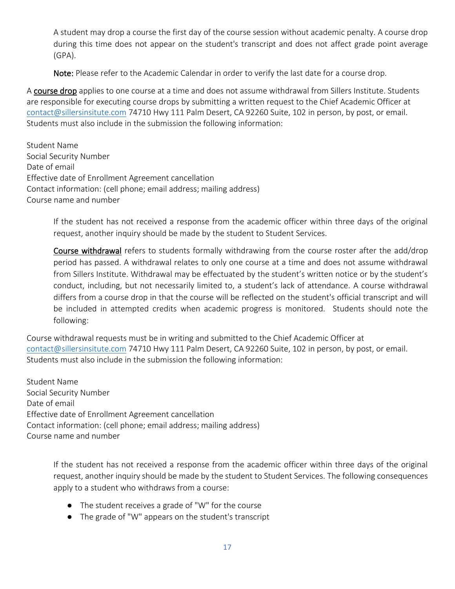A student may drop a course the first day of the course session without academic penalty. A course drop during this time does not appear on the student's transcript and does not affect grade point average (GPA).

Note: Please refer to the Academic Calendar in order to verify the last date for a course drop.

A course drop applies to one course at a time and does not assume withdrawal from Sillers Institute. Students are responsible for executing course drops by submitting a written request to the Chief Academic Officer at [contact@sillersinsitute.com](about:blank) 74710 Hwy 111 Palm Desert, CA 92260 Suite, 102 in person, by post, or email. Students must also include in the submission the following information:

Student Name Social Security Number Date of email Effective date of Enrollment Agreement cancellation Contact information: (cell phone; email address; mailing address) Course name and number

> If the student has not received a response from the academic officer within three days of the original request, another inquiry should be made by the student to Student Services.

> Course withdrawal refers to students formally withdrawing from the course roster after the add/drop period has passed. A withdrawal relates to only one course at a time and does not assume withdrawal from Sillers Institute. Withdrawal may be effectuated by the student's written notice or by the student's conduct, including, but not necessarily limited to, a student's lack of attendance. A course withdrawal differs from a course drop in that the course will be reflected on the student's official transcript and will be included in attempted credits when academic progress is monitored. Students should note the following:

Course withdrawal requests must be in writing and submitted to the Chief Academic Officer at [contact@sillersinsitute.com](about:blank) 74710 Hwy 111 Palm Desert, CA 92260 Suite, 102 in person, by post, or email. Students must also include in the submission the following information:

Student Name Social Security Number Date of email Effective date of Enrollment Agreement cancellation Contact information: (cell phone; email address; mailing address) Course name and number

> If the student has not received a response from the academic officer within three days of the original request, another inquiry should be made by the student to Student Services. The following consequences apply to a student who withdraws from a course:

- The student receives a grade of "W" for the course
- The grade of "W" appears on the student's transcript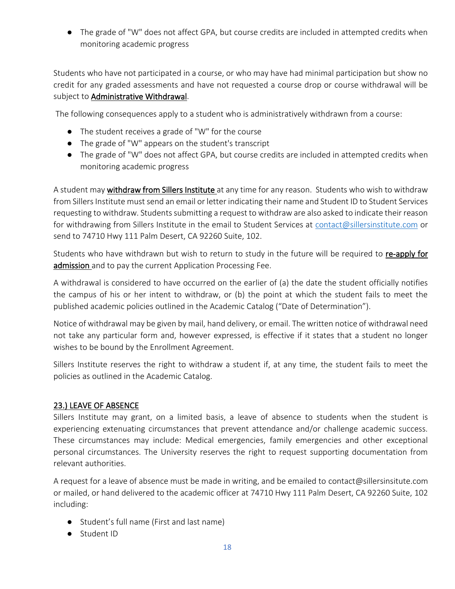● The grade of "W" does not affect GPA, but course credits are included in attempted credits when monitoring academic progress

Students who have not participated in a course, or who may have had minimal participation but show no credit for any graded assessments and have not requested a course drop or course withdrawal will be subject to Administrative Withdrawal.

The following consequences apply to a student who is administratively withdrawn from a course:

- The student receives a grade of "W" for the course
- The grade of "W" appears on the student's transcript
- The grade of "W" does not affect GPA, but course credits are included in attempted credits when monitoring academic progress

A student may withdraw from Sillers Institute at any time for any reason. Students who wish to withdraw from Sillers Institute must send an email or letter indicating their name and Student ID to Student Services requesting to withdraw. Students submitting a request to withdraw are also asked to indicate their reason for withdrawing from Sillers Institute in the email to Student Services at [contact@sillersinstitute.com](about:blank) or send to 74710 Hwy 111 Palm Desert, CA 92260 Suite, 102.

Students who have withdrawn but wish to return to study in the future will be required to re-apply for admission and to pay the current Application Processing Fee.

A withdrawal is considered to have occurred on the earlier of (a) the date the student officially notifies the campus of his or her intent to withdraw, or (b) the point at which the student fails to meet the published academic policies outlined in the Academic Catalog ("Date of Determination").

Notice of withdrawal may be given by mail, hand delivery, or email. The written notice of withdrawal need not take any particular form and, however expressed, is effective if it states that a student no longer wishes to be bound by the Enrollment Agreement.

Sillers Institute reserves the right to withdraw a student if, at any time, the student fails to meet the policies as outlined in the Academic Catalog.

#### 23.) LEAVE OF ABSENCE

Sillers Institute may grant, on a limited basis, a leave of absence to students when the student is experiencing extenuating circumstances that prevent attendance and/or challenge academic success. These circumstances may include: Medical emergencies, family emergencies and other exceptional personal circumstances. The University reserves the right to request supporting documentation from relevant authorities.

A request for a leave of absence must be made in writing, and be emailed to contact@sillersinsitute.com or mailed, or hand delivered to the academic officer at 74710 Hwy 111 Palm Desert, CA 92260 Suite, 102 including:

- Student's full name (First and last name)
- Student ID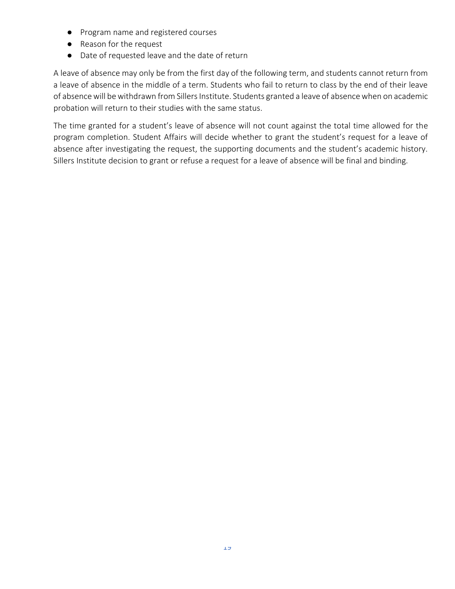- Program name and registered courses
- Reason for the request
- Date of requested leave and the date of return

A leave of absence may only be from the first day of the following term, and students cannot return from a leave of absence in the middle of a term. Students who fail to return to class by the end of their leave of absence will be withdrawn from Sillers Institute. Students granted a leave of absence when on academic probation will return to their studies with the same status.

The time granted for a student's leave of absence will not count against the total time allowed for the program completion. Student Affairs will decide whether to grant the student's request for a leave of absence after investigating the request, the supporting documents and the student's academic history. Sillers Institute decision to grant or refuse a request for a leave of absence will be final and binding.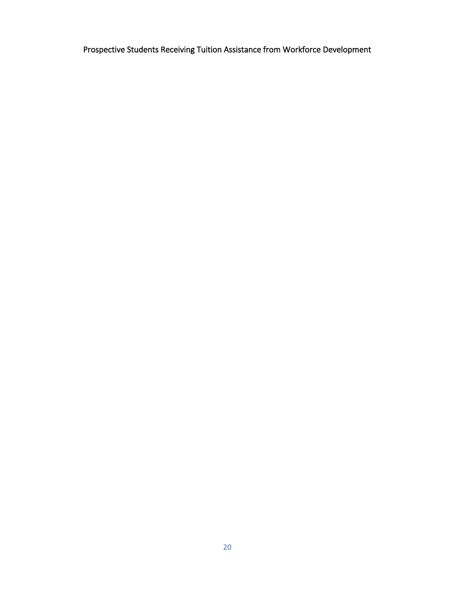Prospective Students Receiving Tuition Assistance from Workforce Development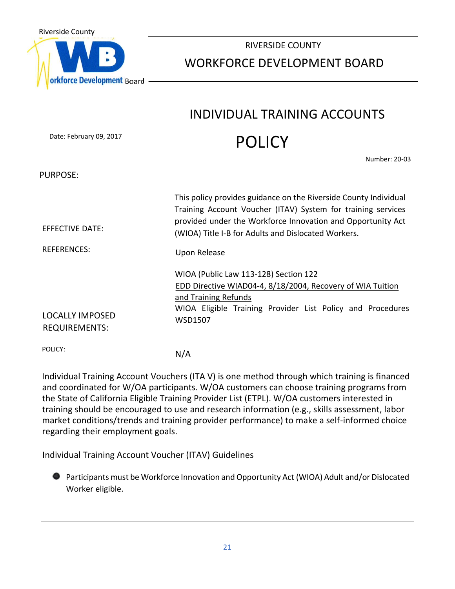

# RIVERSIDE COUNTY WORKFORCE DEVELOPMENT BOARD

# INDIVIDUAL TRAINING ACCOUNTS **POLICY**

Date: February 09, 2017

Number: 20-03

PURPOSE:

| EFFECTIVE DATE:<br><b>REFERENCES:</b>          | This policy provides guidance on the Riverside County Individual<br>Training Account Voucher (ITAV) System for training services<br>provided under the Workforce Innovation and Opportunity Act<br>(WIOA) Title I-B for Adults and Dislocated Workers.<br>Upon Release |
|------------------------------------------------|------------------------------------------------------------------------------------------------------------------------------------------------------------------------------------------------------------------------------------------------------------------------|
| <b>LOCALLY IMPOSED</b><br><b>REQUIREMENTS:</b> | WIOA (Public Law 113-128) Section 122<br>EDD Directive WIAD04-4, 8/18/2004, Recovery of WIA Tuition<br>and Training Refunds<br>WIOA Eligible Training Provider List Policy and Procedures<br>WSD1507                                                                   |

POLICY:

N/A

Individual Training Account Vouchers (ITA V) is one method through which training is financed and coordinated for W/OA participants. W/OA customers can choose training programs from the State of California Eligible Training Provider List (ETPL). W/OA customers interested in training should be encouraged to use and research information (e.g., skills assessment, labor market conditions/trends and training provider performance) to make a self-informed choice regarding their employment goals.

Individual Training Account Voucher (ITAV) Guidelines

Participants must be Workforce Innovation and Opportunity Act (WIOA) Adult and/or Dislocated Worker eligible.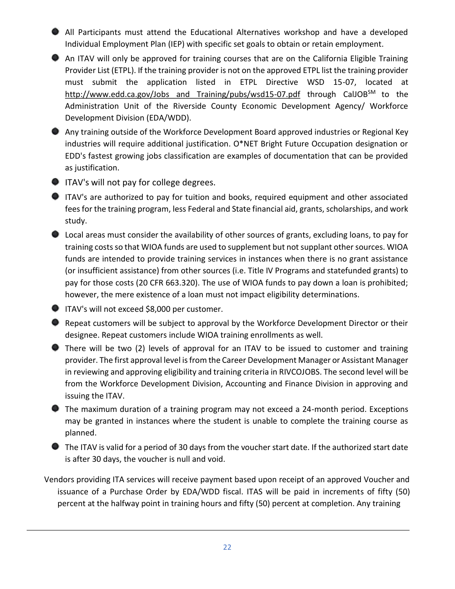All Participants must attend the Educational Alternatives workshop and have a developed Individual Employment Plan (IEP) with specific set goals to obtain or retain employment.

- An ITAV will only be approved for training courses that are on the California Eligible Training Provider List (ETPL). If the training provider is not on the approved ETPL list the training provider must submit the application listed in ETPL Directive WSD 15-07, located at http://www.edd.ca.gov/Jobs and Training/pubs/wsd15-07.pdf through CalJOB<sup>SM</sup> to the Administration Unit of the Riverside County Economic Development Agency/ Workforce Development Division (EDA/WDD).
- Any training outside of the Workforce Development Board approved industries or Regional Key industries will require additional justification. O\*NET Bright Future Occupation designation or EDD's fastest growing jobs classification are examples of documentation that can be provided as justification.

# **ITAV's will not pay for college degrees.**

- ITAV's are authorized to pay for tuition and books, required equipment and other associated fees for the training program, less Federal and State financial aid, grants, scholarships, and work study.
- Local areas must consider the availability of other sources of grants, excluding loans, to pay for training costs so that WIOA funds are used to supplement but not supplant other sources. WIOA funds are intended to provide training services in instances when there is no grant assistance (or insufficient assistance) from other sources (i.e. Title IV Programs and statefunded grants) to pay for those costs (20 CFR 663.320). The use of WIOA funds to pay down a loan is prohibited; however, the mere existence of a loan must not impact eligibility determinations.

**ITAV's will not exceed \$8,000 per customer.** 

Repeat customers will be subject to approval by the Workforce Development Director or their designee. Repeat customers include WIOA training enrollments as well.

There will be two (2) levels of approval for an ITAV to be issued to customer and training provider. The first approval level is from the Career Development Manager or Assistant Manager in reviewing and approving eligibility and training criteria in RIVCOJOBS. The second level will be from the Workforce Development Division, Accounting and Finance Division in approving and issuing the ITAV.

The maximum duration of a training program may not exceed a 24-month period. Exceptions may be granted in instances where the student is unable to complete the training course as planned.

The ITAV is valid for a period of 30 days from the voucher start date. If the authorized start date is after 30 days, the voucher is null and void.

Vendors providing ITA services will receive payment based upon receipt of an approved Voucher and issuance of a Purchase Order by EDA/WDD fiscal. ITAS will be paid in increments of fifty (50) percent at the halfway point in training hours and fifty (50) percent at completion. Any training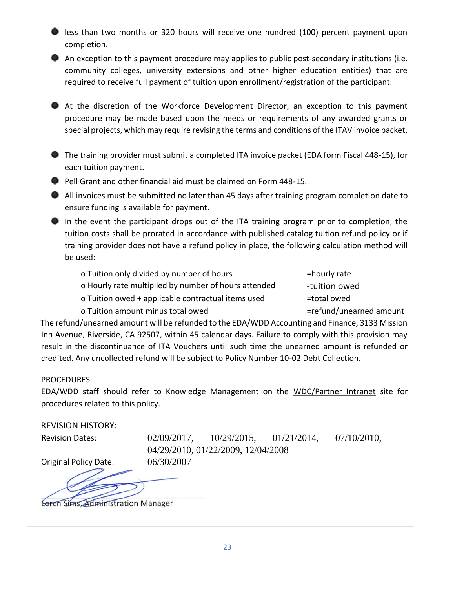less than two months or 320 hours will receive one hundred (100) percent payment upon completion.

An exception to this payment procedure may applies to public post-secondary institutions (i.e. community colleges, university extensions and other higher education entities) that are required to receive full payment of tuition upon enrollment/registration of the participant.

At the discretion of the Workforce Development Director, an exception to this payment procedure may be made based upon the needs or requirements of any awarded grants or special projects, which may require revising the terms and conditions of the ITAV invoice packet.

The training provider must submit a completed ITA invoice packet (EDA form Fiscal 448-15), for each tuition payment.

**Pell Grant and other financial aid must be claimed on Form 448-15.** 

All invoices must be submitted no later than 45 days after training program completion date to ensure funding is available for payment.

In the event the participant drops out of the ITA training program prior to completion, the tuition costs shall be prorated in accordance with published catalog tuition refund policy or if training provider does not have a refund policy in place, the following calculation method will be used:

| o Tuition only divided by number of hours            | =hourly rate            |
|------------------------------------------------------|-------------------------|
| o Hourly rate multiplied by number of hours attended | -tuition owed           |
| o Tuition owed + applicable contractual items used   | =total owed             |
| o Tuition amount minus total owed                    | =refund/unearned amount |

The refund/unearned amount will be refunded to the EDA/WDD Accounting and Finance, 3133 Mission Inn Avenue, Riverside, CA 92507, within 45 calendar days. Failure to comply with this provision may result in the discontinuance of ITA Vouchers until such time the unearned amount is refunded or credited. Any uncollected refund will be subject to Policy Number 10-02 Debt Collection.

# PROCEDURES:

EDA/WDD staff should refer to Knowledge Management on the WDC/Partner Intranet site for procedures related to this policy.

REVISION HISTORY:

Revision Dates: 02/09/2017, 10/29/2015, 01/21/2014, 07/10/2010, 04/29/2010, 01/22/2009, 12/04/2008

Original Policy Date: 06/30/2007

Loren Sims, Administration Manager